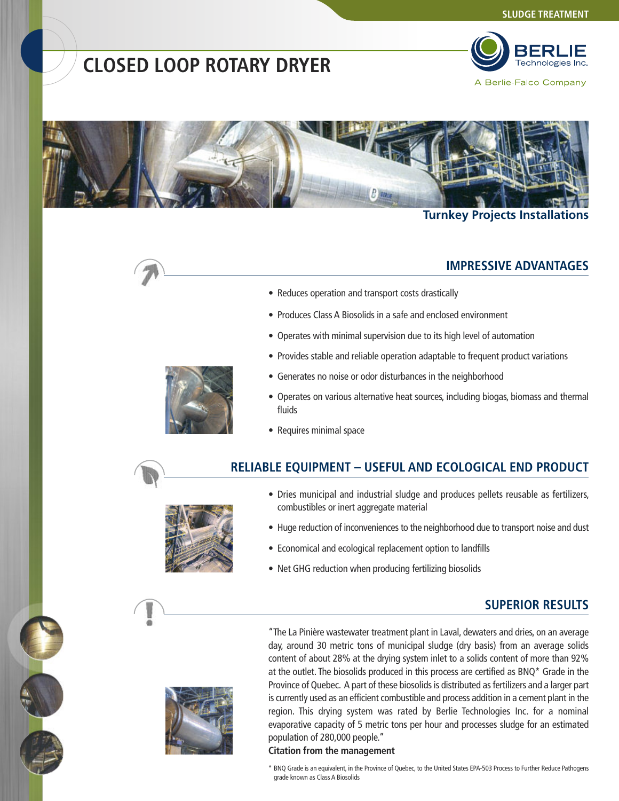# **CLOSED LOOP ROTARY DRYER**



A Berlie-Falco Company



#### **Turnkey Projects Installations**

#### **IMPRESSIVE ADVANTAGES**

- Reduces operation and transport costs drastically
- Produces Class A Biosolids in a safe and enclosed environment
- Operates with minimal supervision due to its high level of automation
- Provides stable and reliable operation adaptable to frequent product variations
- Generates no noise or odor disturbances in the neighborhood
- Operates on various alternative heat sources, including biogas, biomass and thermal fluids
- Requires minimal space

## **RELIABLE EQUIPMENT – USEFUL AND ECOLOGICAL END PRODUCT**



- Dries municipal and industrial sludge and produces pellets reusable as fertilizers, combustibles or inert aggregate material
- Huge reduction of inconveniences to the neighborhood due to transport noise and dust
- Economical and ecological replacement option to landfills
- Net GHG reduction when producing fertilizing biosolids

#### **SUPERIOR RESULTS**



"The La Pinière wastewater treatment plant in Laval, dewaters and dries, on an average day, around 30 metric tons of municipal sludge (dry basis) from an average solids content of about 28% at the drying system inlet to a solids content of more than 92% at the outlet. The biosolids produced in this process are certified as BNQ\* Grade in the Province of Quebec. A part of these biosolids is distributed as fertilizers and a larger part is currently used as an efficient combustible and process addition in a cement plant in the region. This drying system was rated by Berlie Technologies Inc. for a nominal evaporative capacity of 5 metric tons per hour and processes sludge for an estimated population of 280,000 people."

#### **Citation from the management**

\* BNQ Grade is an equivalent, in the Province of Quebec, to the United States EPA-503 Process to Further Reduce Pathogens grade known as Class A Biosolids